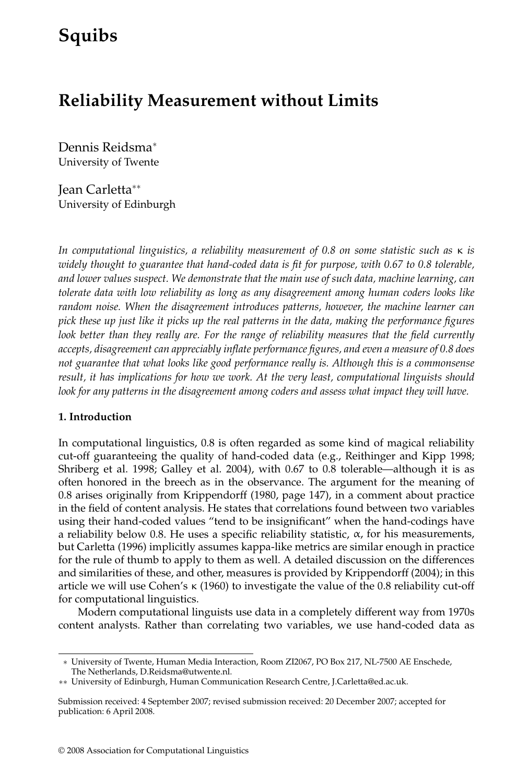# **Squibs**

# **Reliability Measurement without Limits**

Dennis Reidsma<sup>∗</sup> University of Twente

Jean Carletta∗∗ University of Edinburgh

*In computational linguistics, a reliability measurement of 0.8 on some statistic such as* κ *is widely thought to guarantee that hand-coded data is fit for purpose, with 0.67 to 0.8 tolerable, and lower values suspect. We demonstrate that the main use of such data, machine learning, can tolerate data with low reliability as long as any disagreement among human coders looks like random noise. When the disagreement introduces patterns, however, the machine learner can pick these up just like it picks up the real patterns in the data, making the performance figures look better than they really are. For the range of reliability measures that the field currently accepts, disagreement can appreciably inflate performance figures, and even a measure of 0.8 does not guarantee that what looks like good performance really is. Although this is a commonsense result, it has implications for how we work. At the very least, computational linguists should* look for any patterns in the disagreement among coders and assess what impact they will have.

#### **1. Introduction**

In computational linguistics, 0.8 is often regarded as some kind of magical reliability cut-off guaranteeing the quality of hand-coded data (e.g., Reithinger and Kipp 1998; Shriberg et al.1998; Galley et al.2004), with 0.67 to 0.8 tolerable—although it is as often honored in the breech as in the observance.The argument for the meaning of 0.8 arises originally from Krippendorff (1980, page 147), in a comment about practice in the field of content analysis. He states that correlations found between two variables using their hand-coded values "tend to be insignificant" when the hand-codings have a reliability below 0.8. He uses a specific reliability statistic,  $\alpha$ , for his measurements, but Carletta (1996) implicitly assumes kappa-like metrics are similar enough in practice for the rule of thumb to apply to them as well.A detailed discussion on the differences and similarities of these, and other, measures is provided by Krippendorff (2004); in this article we will use Cohen's κ (1960) to investigate the value of the 0.8 reliability cut-off for computational linguistics.

Modern computational linguists use data in a completely different way from 1970s content analysts. Rather than correlating two variables, we use hand-coded data as

<sup>∗</sup> University of Twente, Human Media Interaction, Room ZI2067, PO Box 217, NL-7500 AE Enschede, The Netherlands, D.Reidsma@utwente.nl.

<sup>∗∗</sup> University of Edinburgh, Human Communication Research Centre, J.Carletta@ed.ac.uk.

Submission received: 4 September 2007; revised submission received: 20 December 2007; accepted for publication: 6 April 2008.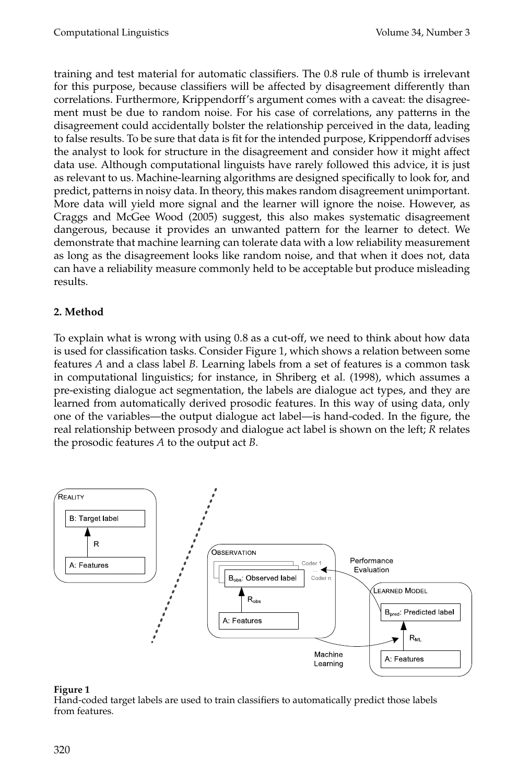training and test material for automatic classifiers.The 0.8 rule of thumb is irrelevant for this purpose, because classifiers will be affected by disagreement differently than correlations. Furthermore, Krippendorff's argument comes with a caveat: the disagreement must be due to random noise. For his case of correlations, any patterns in the disagreement could accidentally bolster the relationship perceived in the data, leading to false results.To be sure that data is fit for the intended purpose, Krippendorff advises the analyst to look for structure in the disagreement and consider how it might affect data use.Although computational linguists have rarely followed this advice, it is just as relevant to us.Machine-learning algorithms are designed specifically to look for, and predict, patterns in noisy data.In theory, this makes random disagreement unimportant. More data will yield more signal and the learner will ignore the noise. However, as Craggs and McGee Wood (2005) suggest, this also makes systematic disagreement dangerous, because it provides an unwanted pattern for the learner to detect.We demonstrate that machine learning can tolerate data with a low reliability measurement as long as the disagreement looks like random noise, and that when it does not, data can have a reliability measure commonly held to be acceptable but produce misleading results.

# **2. Method**

To explain what is wrong with using 0.8 as a cut-off, we need to think about how data is used for classification tasks.Consider Figure 1, which shows a relation between some features *A* and a class label *B*.Learning labels from a set of features is a common task in computational linguistics; for instance, in Shriberg et al.(1998), which assumes a pre-existing dialogue act segmentation, the labels are dialogue act types, and they are learned from automatically derived prosodic features. In this way of using data, only one of the variables—the output dialogue act label—is hand-coded.In the figure, the real relationship between prosody and dialogue act label is shown on the left; *R* relates the prosodic features *A* to the output act *B*.



#### **Figure 1**

Hand-coded target labels are used to train classifiers to automatically predict those labels from features.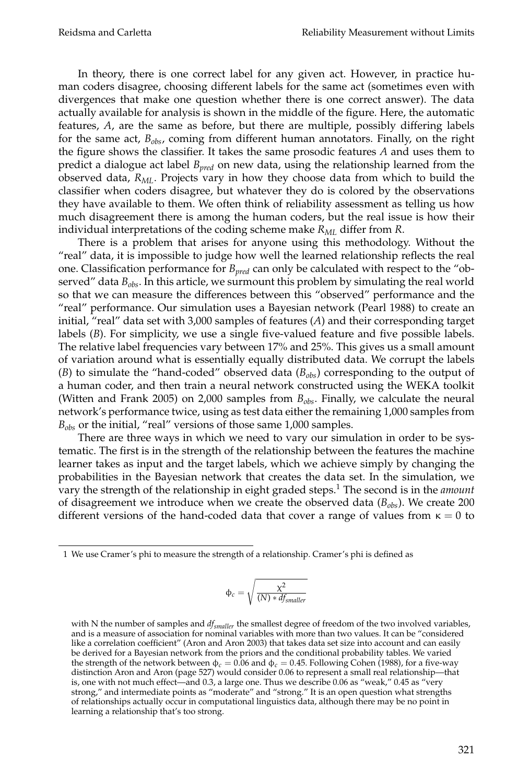In theory, there is one correct label for any given act. However, in practice human coders disagree, choosing different labels for the same act (sometimes even with divergences that make one question whether there is one correct answer).The data actually available for analysis is shown in the middle of the figure.Here, the automatic features, *A*, are the same as before, but there are multiple, possibly differing labels for the same act,  $B_{obs}$ , coming from different human annotators. Finally, on the right the figure shows the classifier.It takes the same prosodic features *A* and uses them to predict a dialogue act label *Bpred* on new data, using the relationship learned from the observed data,  $R_{ML}$ . Projects vary in how they choose data from which to build the classifier when coders disagree, but whatever they do is colored by the observations they have available to them.We often think of reliability assessment as telling us how much disagreement there is among the human coders, but the real issue is how their individual interpretations of the coding scheme make  $R_{ML}$  differ from *R*.

There is a problem that arises for anyone using this methodology.Without the "real" data, it is impossible to judge how well the learned relationship reflects the real one.Classification performance for *Bpred* can only be calculated with respect to the "observed" data  $B_{obs}$ . In this article, we surmount this problem by simulating the real world so that we can measure the differences between this "observed" performance and the "real" performance.Our simulation uses a Bayesian network (Pearl 1988) to create an initial, "real" data set with 3,000 samples of features (*A*) and their corresponding target labels (B). For simplicity, we use a single five-valued feature and five possible labels. The relative label frequencies vary between 17% and 25%.This gives us a small amount of variation around what is essentially equally distributed data.We corrupt the labels (*B*) to simulate the "hand-coded" observed data (*B<sub>obs</sub>*) corresponding to the output of a human coder, and then train a neural network constructed using the WEKA toolkit (Witten and Frank 2005) on 2,000 samples from  $B_{obs}$ . Finally, we calculate the neural network's performance twice, using as test data either the remaining 1,000 samples from *Bobs* or the initial, "real" versions of those same 1,000 samples.

There are three ways in which we need to vary our simulation in order to be systematic.The first is in the strength of the relationship between the features the machine learner takes as input and the target labels, which we achieve simply by changing the probabilities in the Bayesian network that creates the data set.In the simulation, we vary the strength of the relationship in eight graded steps.<sup>1</sup> The second is in the *amount* of disagreement we introduce when we create the observed data ( $B_{obs}$ ). We create 200 different versions of the hand-coded data that cover a range of values from  $\kappa = 0$  to

$$
\varphi_c = \sqrt{\frac{\chi^2}{(N)*df_{smaller}}}
$$

<sup>1</sup> We use Cramer's phi to measure the strength of a relationship.Cramer's phi is defined as

with N the number of samples and *dfsmaller* the smallest degree of freedom of the two involved variables, and is a measure of association for nominal variables with more than two values.It can be "considered like a correlation coefficient" (Aron and Aron 2003) that takes data set size into account and can easily be derived for a Bayesian network from the priors and the conditional probability tables. We varied the strength of the network between  $\phi_c = 0.06$  and  $\phi_c = 0.45$ . Following Cohen (1988), for a five-way distinction Aron and Aron (page 527) would consider 0.06 to represent a small real relationship—that is, one with not much effect—and 0.3, a large one. Thus we describe 0.06 as "weak," 0.45 as "very strong," and intermediate points as "moderate" and "strong." It is an open question what strengths of relationships actually occur in computational linguistics data, although there may be no point in learning a relationship that's too strong.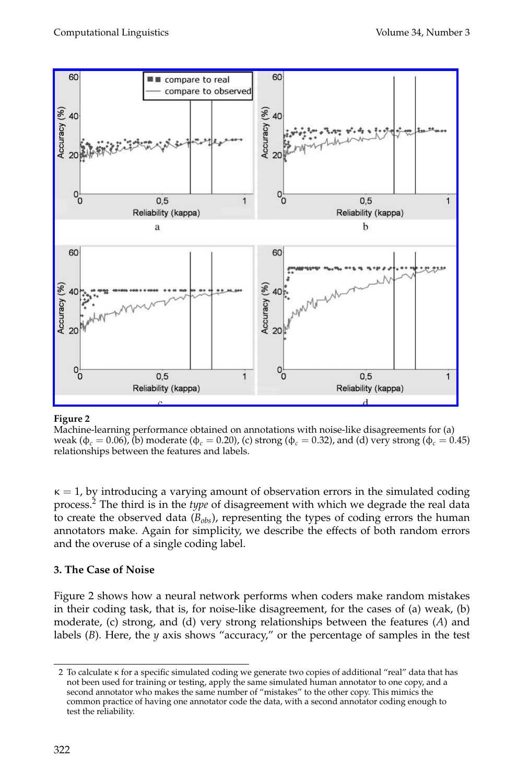

#### **Figure 2**

Machine-learning performance obtained on annotations with noise-like disagreements for (a) weak (φ*<sup>c</sup>* = 0.06), (b) moderate (φ*<sup>c</sup>* = 0.20), (c) strong (φ*<sup>c</sup>* = 0.32), and (d) very strong (φ*<sup>c</sup>* = 0.45) relationships between the features and labels.

 $\kappa = 1$ , by introducing a varying amount of observation errors in the simulated coding process.<sup>2</sup> The third is in the *type* of disagreement with which we degrade the real data to create the observed data  $(B_{obs})$ , representing the types of coding errors the human annotators make. Again for simplicity, we describe the effects of both random errors and the overuse of a single coding label.

#### **3. The Case of Noise**

Figure 2 shows how a neural network performs when coders make random mistakes in their coding task, that is, for noise-like disagreement, for the cases of (a) weak, (b) moderate, (c) strong, and (d) very strong relationships between the features (*A*) and labels (*B*). Here, the *y* axis shows "accuracy," or the percentage of samples in the test

<sup>2</sup> To calculate κ for a specific simulated coding we generate two copies of additional "real" data that has not been used for training or testing, apply the same simulated human annotator to one copy, and a second annotator who makes the same number of "mistakes" to the other copy.This mimics the common practice of having one annotator code the data, with a second annotator coding enough to test the reliability.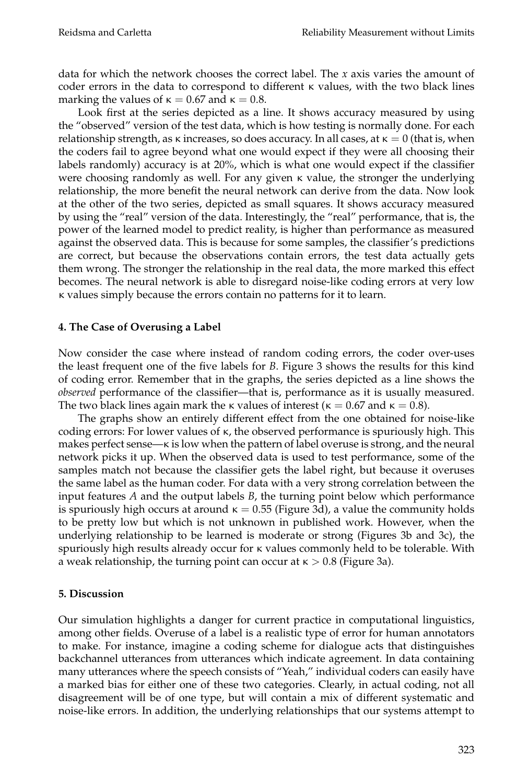data for which the network chooses the correct label.The *x* axis varies the amount of coder errors in the data to correspond to different κ values, with the two black lines marking the values of  $\kappa = 0.67$  and  $\kappa = 0.8$ .

Look first at the series depicted as a line. It shows accuracy measured by using the "observed" version of the test data, which is how testing is normally done.For each relationship strength, as  $\kappa$  increases, so does accuracy. In all cases, at  $\kappa = 0$  (that is, when the coders fail to agree beyond what one would expect if they were all choosing their labels randomly) accuracy is at 20%, which is what one would expect if the classifier were choosing randomly as well. For any given  $\kappa$  value, the stronger the underlying relationship, the more benefit the neural network can derive from the data.Now look at the other of the two series, depicted as small squares.It shows accuracy measured by using the "real" version of the data.Interestingly, the "real" performance, that is, the power of the learned model to predict reality, is higher than performance as measured against the observed data.This is because for some samples, the classifier's predictions are correct, but because the observations contain errors, the test data actually gets them wrong.The stronger the relationship in the real data, the more marked this effect becomes.The neural network is able to disregard noise-like coding errors at very low κ values simply because the errors contain no patterns for it to learn.

#### **4. The Case of Overusing a Label**

Now consider the case where instead of random coding errors, the coder over-uses the least frequent one of the five labels for *B*.Figure 3 shows the results for this kind of coding error.Remember that in the graphs, the series depicted as a line shows the *observed* performance of the classifier—that is, performance as it is usually measured. The two black lines again mark the  $\kappa$  values of interest ( $\kappa = 0.67$  and  $\kappa = 0.8$ ).

The graphs show an entirely different effect from the one obtained for noise-like coding errors: For lower values of  $\kappa$ , the observed performance is spuriously high. This makes perfect sense— $\kappa$  is low when the pattern of label overuse is strong, and the neural network picks it up.When the observed data is used to test performance, some of the samples match not because the classifier gets the label right, but because it overuses the same label as the human coder.For data with a very strong correlation between the input features *A* and the output labels *B*, the turning point below which performance is spuriously high occurs at around  $\kappa = 0.55$  (Figure 3d), a value the community holds to be pretty low but which is not unknown in published work.However, when the underlying relationship to be learned is moderate or strong (Figures 3b and 3c), the spuriously high results already occur for κ values commonly held to be tolerable.With a weak relationship, the turning point can occur at  $\kappa > 0.8$  (Figure 3a).

#### **5. Discussion**

Our simulation highlights a danger for current practice in computational linguistics, among other fields.Overuse of a label is a realistic type of error for human annotators to make.For instance, imagine a coding scheme for dialogue acts that distinguishes backchannel utterances from utterances which indicate agreement. In data containing many utterances where the speech consists of "Yeah," individual coders can easily have a marked bias for either one of these two categories.Clearly, in actual coding, not all disagreement will be of one type, but will contain a mix of different systematic and noise-like errors.In addition, the underlying relationships that our systems attempt to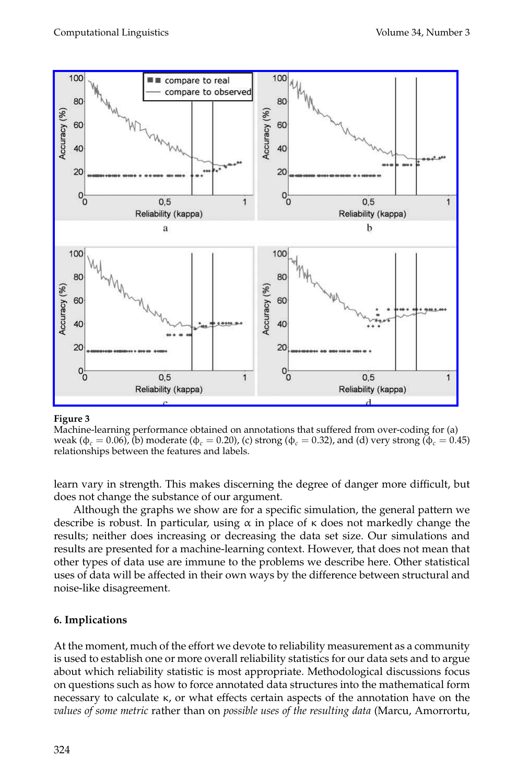

#### **Figure 3**

Machine-learning performance obtained on annotations that suffered from over-coding for (a) weak ( $\phi_c = 0.06$ ), (b) moderate ( $\phi_c = 0.20$ ), (c) strong ( $\phi_c = 0.32$ ), and (d) very strong ( $\phi_c = 0.45$ ) relationships between the features and labels.

learn vary in strength. This makes discerning the degree of danger more difficult, but does not change the substance of our argument.

Although the graphs we show are for a specific simulation, the general pattern we describe is robust. In particular, using  $\alpha$  in place of  $\kappa$  does not markedly change the results; neither does increasing or decreasing the data set size. Our simulations and results are presented for a machine-learning context.However, that does not mean that other types of data use are immune to the problems we describe here. Other statistical uses of data will be affected in their own ways by the difference between structural and noise-like disagreement.

# **6. Implications**

At the moment, much of the effort we devote to reliability measurement as a community is used to establish one or more overall reliability statistics for our data sets and to argue about which reliability statistic is most appropriate. Methodological discussions focus on questions such as how to force annotated data structures into the mathematical form necessary to calculate κ, or what effects certain aspects of the annotation have on the *values of some metric* rather than on *possible uses of the resulting data* (Marcu, Amorrortu,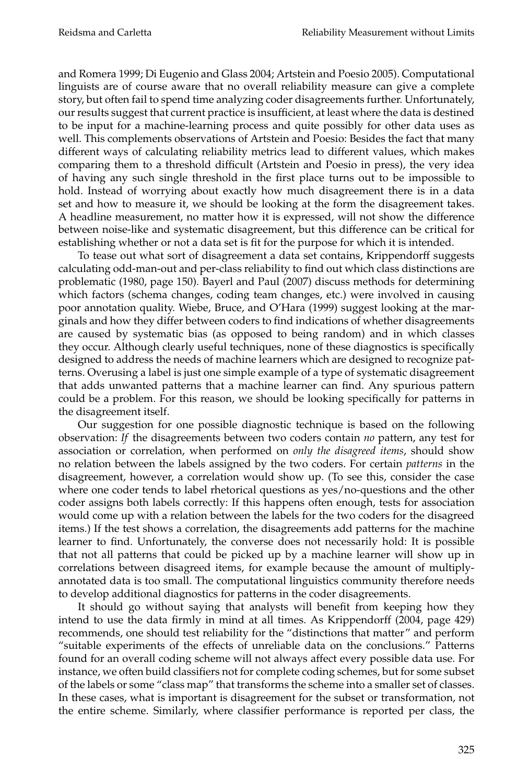and Romera 1999; Di Eugenio and Glass 2004; Artstein and Poesio 2005).Computational linguists are of course aware that no overall reliability measure can give a complete story, but often fail to spend time analyzing coder disagreements further. Unfortunately, our results suggest that current practice is insufficient, at least where the data is destined to be input for a machine-learning process and quite possibly for other data uses as well.This complements observations of Artstein and Poesio: Besides the fact that many different ways of calculating reliability metrics lead to different values, which makes comparing them to a threshold difficult (Artstein and Poesio in press), the very idea of having any such single threshold in the first place turns out to be impossible to hold. Instead of worrying about exactly how much disagreement there is in a data set and how to measure it, we should be looking at the form the disagreement takes. A headline measurement, no matter how it is expressed, will not show the difference between noise-like and systematic disagreement, but this difference can be critical for establishing whether or not a data set is fit for the purpose for which it is intended.

To tease out what sort of disagreement a data set contains, Krippendorff suggests calculating odd-man-out and per-class reliability to find out which class distinctions are problematic (1980, page 150). Bayerl and Paul (2007) discuss methods for determining which factors (schema changes, coding team changes, etc.) were involved in causing poor annotation quality.Wiebe, Bruce, and O'Hara (1999) suggest looking at the marginals and how they differ between coders to find indications of whether disagreements are caused by systematic bias (as opposed to being random) and in which classes they occur.Although clearly useful techniques, none of these diagnostics is specifically designed to address the needs of machine learners which are designed to recognize patterns.Overusing a label is just one simple example of a type of systematic disagreement that adds unwanted patterns that a machine learner can find.Any spurious pattern could be a problem. For this reason, we should be looking specifically for patterns in the disagreement itself.

Our suggestion for one possible diagnostic technique is based on the following observation: *If* the disagreements between two coders contain *no* pattern, any test for association or correlation, when performed on *only the disagreed items*, should show no relation between the labels assigned by the two coders.For certain *patterns* in the disagreement, however, a correlation would show up.(To see this, consider the case where one coder tends to label rhetorical questions as yes/no-questions and the other coder assigns both labels correctly: If this happens often enough, tests for association would come up with a relation between the labels for the two coders for the disagreed items.) If the test shows a correlation, the disagreements add patterns for the machine learner to find. Unfortunately, the converse does not necessarily hold: It is possible that not all patterns that could be picked up by a machine learner will show up in correlations between disagreed items, for example because the amount of multiplyannotated data is too small. The computational linguistics community therefore needs to develop additional diagnostics for patterns in the coder disagreements.

It should go without saying that analysts will benefit from keeping how they intend to use the data firmly in mind at all times. As Krippendorff (2004, page 429) recommends, one should test reliability for the "distinctions that matter" and perform "suitable experiments of the effects of unreliable data on the conclusions." Patterns found for an overall coding scheme will not always affect every possible data use.For instance, we often build classifiers not for complete coding schemes, but for some subset of the labels or some "class map" that transforms the scheme into a smaller set of classes. In these cases, what is important is disagreement for the subset or transformation, not the entire scheme. Similarly, where classifier performance is reported per class, the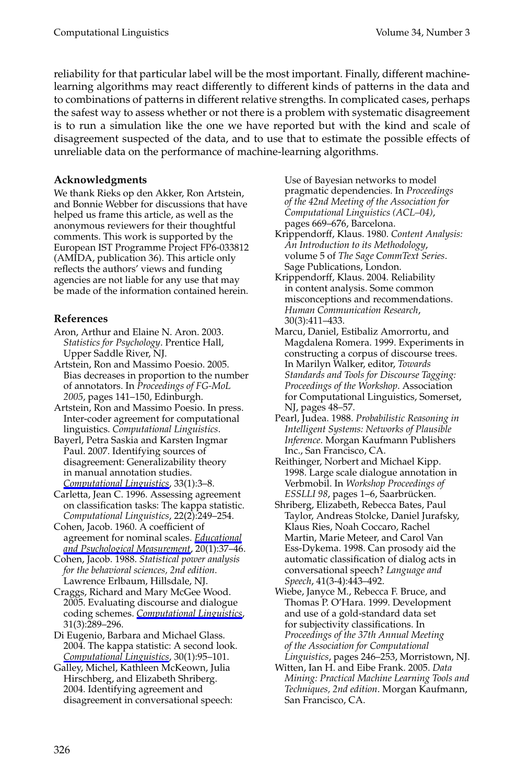reliability for that particular label will be the most important. Finally, different machinelearning algorithms may react differently to different kinds of patterns in the data and to combinations of patterns in different relative strengths. In complicated cases, perhaps the safest way to assess whether or not there is a problem with systematic disagreement is to run a simulation like the one we have reported but with the kind and scale of disagreement suspected of the data, and to use that to estimate the possible effects of unreliable data on the performance of machine-learning algorithms.

#### **Acknowledgments**

We thank Rieks op den Akker, Ron Artstein, and Bonnie Webber for discussions that have helped us frame this article, as well as the anonymous reviewers for their thoughtful comments.This work is supported by the European IST Programme Project FP6-033812 (AMIDA, publication 36).This article only reflects the authors' views and funding agencies are not liable for any use that may be made of the information contained herein.

### **References**

- Aron, Arthur and Elaine N. Aron. 2003. *Statistics for Psychology*.Prentice Hall, Upper Saddle River, NJ.
- Artstein, Ron and Massimo Poesio.2005. Bias decreases in proportion to the number of annotators.In *Proceedings of FG-MoL 2005*, pages 141–150, Edinburgh.
- Artstein, Ron and Massimo Poesio. In press. Inter-coder agreement for computational linguistics. *Computational Linguistics*.
- Bayerl, Petra Saskia and Karsten Ingmar Paul. 2007. Identifying sources of disagreement: Generalizability theory in manual annotation studies. *Computational Linguistics*, 33(1):3–8.
- Carletta, Jean C.1996.Assessing agreement on classification tasks: The kappa statistic. *Computational Linguistics*, 22(2):249–254.
- Cohen, Jacob.1960.A coefficient of agreement for nominal scales. *Educational and Psychological Measurement*, 20(1):37–46.
- Cohen, Jacob.1988. *Statistical power analysis for the behavioral sciences, 2nd edition*. Lawrence Erlbaum, Hillsdale, NJ.
- Craggs, Richard and Mary McGee Wood. 2005.Evaluating discourse and dialogue coding schemes. *Computational Linguistics*, 31(3):289–296.
- Di Eugenio, Barbara and Michael Glass. 2004.The kappa statistic: A second look. *Computational Linguistics*, 30(1):95–101.
- Galley, Michel, Kathleen McKeown, Julia Hirschberg, and Elizabeth Shriberg. 2004.Identifying agreement and disagreement in conversational speech:

Use of Bayesian networks to model pragmatic dependencies.In *Proceedings of the 42nd Meeting of the Association for Computational Linguistics (ACL–04)*, pages 669–676, Barcelona.

- Krippendorff, Klaus.1980. *Content Analysis: An Introduction to its Methodology*, volume 5 of *The Sage CommText Series*. Sage Publications, London.
- Krippendorff, Klaus. 2004. Reliability in content analysis.Some common misconceptions and recommendations. *Human Communication Research*, 30(3):411–433.
- Marcu, Daniel, Estibaliz Amorrortu, and Magdalena Romera.1999.Experiments in constructing a corpus of discourse trees. In Marilyn Walker, editor, *Towards Standards and Tools for Discourse Tagging: Proceedings of the Workshop*.Association for Computational Linguistics, Somerset, NJ, pages 48–57.
- Pearl, Judea.1988. *Probabilistic Reasoning in Intelligent Systems: Networks of Plausible Inference*.Morgan Kaufmann Publishers Inc., San Francisco, CA.
- Reithinger, Norbert and Michael Kipp. 1998.Large scale dialogue annotation in Verbmobil.In *Workshop Proceedings of ESSLLI 98*, pages 1–6, Saarbrücken.
- Shriberg, Elizabeth, Rebecca Bates, Paul Taylor, Andreas Stolcke, Daniel Jurafsky, Klaus Ries, Noah Coccaro, Rachel Martin, Marie Meteer, and Carol Van Ess-Dykema.1998.Can prosody aid the automatic classification of dialog acts in conversational speech? *Language and Speech*, 41(3-4):443–492.
- Wiebe, Janyce M., Rebecca F. Bruce, and Thomas P.O'Hara.1999.Development and use of a gold-standard data set for subjectivity classifications.In *Proceedings of the 37th Annual Meeting of the Association for Computational Linguistics*, pages 246–253, Morristown, NJ.
- Witten, Ian H. and Eibe Frank. 2005. *Data Mining: Practical Machine Learning Tools and Techniques, 2nd edition*.Morgan Kaufmann, San Francisco, CA.